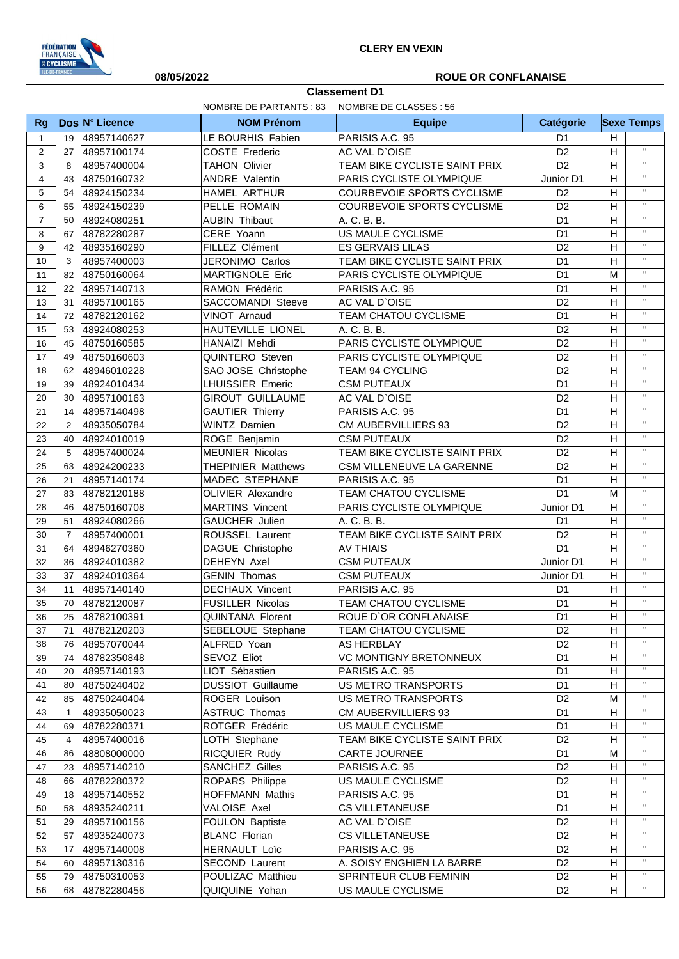

**Classement D1**

## **08/05/2022 ROUE OR CONFLANAISE**

|                | <b>NOMBRE DE PARTANTS: 83</b><br>NOMBRE DE CLASSES : 56 |                            |                                           |                                            |                                  |        |                              |
|----------------|---------------------------------------------------------|----------------------------|-------------------------------------------|--------------------------------------------|----------------------------------|--------|------------------------------|
| <b>Rg</b>      |                                                         | Dos N° Licence             | <b>NOM Prénom</b>                         | <b>Equipe</b>                              | <b>Catégorie</b>                 |        | <b>Sexe Temps</b>            |
| $\mathbf{1}$   | 19                                                      | 48957140627                | LE BOURHIS Fabien                         | PARISIS A.C. 95                            | D <sub>1</sub>                   | H      |                              |
| 2              | 27                                                      | 48957100174                | <b>COSTE Frederic</b>                     | AC VAL D'OISE                              | D <sub>2</sub>                   | H      | $\mathbf{H}$                 |
| 3              | 8                                                       | 48957400004                | <b>TAHON Olivier</b>                      | TEAM BIKE CYCLISTE SAINT PRIX              | D <sub>2</sub>                   | H      | $\mathbf{H}$                 |
| 4              | 43                                                      | 48750160732                | <b>ANDRE Valentin</b>                     | PARIS CYCLISTE OLYMPIQUE                   | Junior D1                        | н      | $\mathbf{H}$                 |
| 5              | 54                                                      | 48924150234                | HAMEL ARTHUR                              | <b>COURBEVOIE SPORTS CYCLISME</b>          | D <sub>2</sub>                   | H      | $\mathbf{H}$                 |
| 6              | 55                                                      | 48924150239                | PELLE ROMAIN                              | COURBEVOIE SPORTS CYCLISME                 | D <sub>2</sub>                   | H      | $\mathbf{H}$                 |
| $\overline{7}$ | 50                                                      | 48924080251                | <b>AUBIN Thibaut</b>                      | A. C. B. B.                                | D <sub>1</sub>                   | H      | $\mathbf{H}$                 |
| 8              | 67                                                      | 48782280287                | CERE Yoann                                | <b>US MAULE CYCLISME</b>                   | D <sub>1</sub>                   | Н      | $\mathbf{H}$                 |
| 9              | 42                                                      | 48935160290                | FILLEZ Clément                            | <b>ES GERVAIS LILAS</b>                    | D <sub>2</sub>                   | H      | $\mathbf{H}$                 |
| 10             | 3                                                       | 48957400003                | JERONIMO Carlos                           | TEAM BIKE CYCLISTE SAINT PRIX              | D <sub>1</sub>                   | H      | $\mathbf{H}$                 |
| 11             | 82                                                      | 48750160064                | MARTIGNOLE Eric                           | PARIS CYCLISTE OLYMPIQUE                   | D <sub>1</sub>                   | M      | $\mathbf{H}$                 |
| 12             | 22                                                      | 48957140713                | RAMON Frédéric                            | PARISIS A.C. 95                            | D <sub>1</sub>                   | Н      | $\mathbf{H}$                 |
| 13             | 31                                                      | 48957100165                | SACCOMANDI Steeve                         | AC VAL D'OISE                              | D <sub>2</sub>                   | H      | $\mathbf{H}$                 |
| 14             | 72                                                      | 48782120162                | VINOT Arnaud                              | TEAM CHATOU CYCLISME                       | D <sub>1</sub>                   | Н      | $\mathbf{H}$                 |
| 15             | 53                                                      | 48924080253                | HAUTEVILLE LIONEL                         | A. C. B. B.                                | D <sub>2</sub>                   | Н      | $\mathbf{H}$                 |
| 16             | 45                                                      | 48750160585                | HANAIZI Mehdi                             | PARIS CYCLISTE OLYMPIQUE                   | D <sub>2</sub>                   | H      | $\mathbf{H}$                 |
| 17             | 49                                                      | 48750160603                | QUINTERO Steven                           | PARIS CYCLISTE OLYMPIQUE                   | D <sub>2</sub>                   | H      | $\mathbf{H}$                 |
| 18             | 62                                                      | 48946010228                | SAO JOSE Christophe                       | TEAM 94 CYCLING                            | D <sub>2</sub>                   | H      | $\mathbf{H}$                 |
| 19             | 39                                                      | 48924010434                | <b>LHUISSIER Emeric</b>                   | <b>CSM PUTEAUX</b>                         | D <sub>1</sub>                   | H      | $\mathbf{H}$                 |
| 20             | 30                                                      | 48957100163                | <b>GIROUT GUILLAUME</b>                   | AC VAL D'OISE                              | D <sub>2</sub>                   | H      | $\mathbf{H}$                 |
| 21             | 14                                                      | 48957140498                | <b>GAUTIER Thierry</b>                    | PARISIS A.C. 95                            | D <sub>1</sub>                   | H      | $\mathbf{H}$                 |
| 22             | 2                                                       | 48935050784                | <b>WINTZ Damien</b>                       | <b>CM AUBERVILLIERS 93</b>                 | D <sub>2</sub>                   | H      | $\mathbf{H}$                 |
| 23             | 40                                                      | 48924010019                | ROGE Benjamin                             | <b>CSM PUTEAUX</b>                         | D <sub>2</sub>                   | H      | $\mathbf{H}$                 |
| 24             | 5                                                       | 48957400024                | <b>MEUNIER Nicolas</b>                    | TEAM BIKE CYCLISTE SAINT PRIX              | D <sub>2</sub>                   | H      | $\mathbf{H}$                 |
| 25             | 63                                                      | 48924200233                | <b>THEPINIER Matthews</b>                 | CSM VILLENEUVE LA GARENNE                  | D <sub>2</sub>                   | H      | $\mathbf{H}$                 |
| 26             | 21                                                      | 48957140174                | MADEC STEPHANE                            | PARISIS A.C. 95                            | D <sub>1</sub>                   | H      | $\mathbf{H}$                 |
| 27             | 83                                                      | 48782120188                | <b>OLIVIER Alexandre</b>                  | <b>TEAM CHATOU CYCLISME</b>                | D <sub>1</sub>                   | M      | $\mathbf{H}$                 |
| 28             | 46                                                      | 48750160708                | <b>MARTINS Vincent</b>                    | PARIS CYCLISTE OLYMPIQUE                   | Junior D1                        | Н      | $\mathbf{H}$                 |
| 29             | 51                                                      | 48924080266                | GAUCHER Julien                            | A. C. B. B.                                | D <sub>1</sub>                   | H      | $\mathbf{H}$                 |
| 30             | $\overline{7}$                                          | 48957400001                | ROUSSEL Laurent                           | TEAM BIKE CYCLISTE SAINT PRIX              | D <sub>2</sub>                   | H      | $\mathbf{H}$<br>$\mathbf{H}$ |
| 31             | 64                                                      | 48946270360                | DAGUE Christophe                          | <b>AV THIAIS</b>                           | D <sub>1</sub>                   | Н      | $\mathbf{H}$                 |
| 32             | 36                                                      | 48924010382                | DEHEYN Axel                               | <b>CSM PUTEAUX</b>                         | Junior D1                        | H      | $\mathbf{H}$                 |
| 33             | 37                                                      | 48924010364                | <b>GENIN Thomas</b>                       | <b>CSM PUTEAUX</b>                         | Junior D1                        | H      | $\mathbf{H}$                 |
| 34             | 11                                                      | 48957140140                | <b>DECHAUX Vincent</b>                    | PARISIS A.C. 95                            | D <sub>1</sub>                   | H      | $\mathbf{H}$                 |
| 35             | 70                                                      | 48782120087                | <b>FUSILLER Nicolas</b>                   | <b>TEAM CHATOU CYCLISME</b>                | D <sub>1</sub>                   | H      | $\mathbf{u}$                 |
| 36             | 25                                                      | 48782100391                | <b>QUINTANA Florent</b>                   | ROUE D'OR CONFLANAISE                      | D1                               | H      | $\mathbf{H}$                 |
| 37             | 71                                                      | 48782120203                | SEBELOUE Stephane                         | TEAM CHATOU CYCLISME                       | D <sub>2</sub>                   | H      | $\mathbf{H}$                 |
| 38             | 76                                                      | 48957070044                | ALFRED Yoan                               | AS HERBLAY                                 | D <sub>2</sub>                   | H      | $\mathbf{H}$                 |
| 39             | 74                                                      | 48782350848                | SEVOZ Eliot                               | VC MONTIGNY BRETONNEUX                     | D <sub>1</sub>                   | н      | $\mathbf{H}$                 |
| 40             | 20                                                      | 48957140193                | LIOT Sébastien                            | PARISIS A.C. 95                            | D <sub>1</sub>                   | н      | $\mathbf{H}$                 |
| 41             | 80                                                      | 48750240402                | <b>DUSSIOT Guillaume</b><br>ROGER Louison | US METRO TRANSPORTS<br>US METRO TRANSPORTS | D <sub>1</sub><br>D <sub>2</sub> | н<br>M | $\mathbf{H}$                 |
| 42<br>43       | 85<br>$\mathbf{1}$                                      | 48750240404<br>48935050023 | <b>ASTRUC Thomas</b>                      | <b>CM AUBERVILLIERS 93</b>                 | D <sub>1</sub>                   | н      | $\mathbf{H}$                 |
| 44             | 69                                                      | 48782280371                | ROTGER Frédéric                           | US MAULE CYCLISME                          | D <sub>1</sub>                   | H      | $\mathbf{H}$                 |
| 45             | 4                                                       | 48957400016                | LOTH Stephane                             | TEAM BIKE CYCLISTE SAINT PRIX              | D <sub>2</sub>                   | H      | $\mathbf{H}$                 |
| 46             | 86                                                      | 48808000000                | RICQUIER Rudy                             | <b>CARTE JOURNEE</b>                       | D <sub>1</sub>                   | М      | $\mathbf{H}$                 |
| 47             | 23                                                      | 48957140210                | <b>SANCHEZ Gilles</b>                     | PARISIS A.C. 95                            | D <sub>2</sub>                   | н      | $\mathbf{H}$                 |
| 48             | 66                                                      | 48782280372                | ROPARS Philippe                           | US MAULE CYCLISME                          | D <sub>2</sub>                   | H      | $\mathbf{H}$                 |
| 49             | 18                                                      | 48957140552                | <b>HOFFMANN Mathis</b>                    | PARISIS A.C. 95                            | D <sub>1</sub>                   | H      | $\mathbf{H}$                 |
| 50             | 58                                                      | 48935240211                | VALOISE Axel                              | <b>CS VILLETANEUSE</b>                     | D <sub>1</sub>                   | н      | $\mathbf{H}$                 |
| 51             | 29                                                      | 48957100156                | FOULON Baptiste                           | AC VAL D'OISE                              | D <sub>2</sub>                   | H      | $\mathbf{H}$                 |
| 52             | 57                                                      | 48935240073                | <b>BLANC Florian</b>                      | <b>CS VILLETANEUSE</b>                     | D <sub>2</sub>                   | H      | $\mathbf{H}$                 |
| 53             | 17                                                      | 48957140008                | <b>HERNAULT Loïc</b>                      | PARISIS A.C. 95                            | D <sub>2</sub>                   | н      | $\mathbf{H}$                 |
| 54             | 60                                                      | 48957130316                | SECOND Laurent                            | A. SOISY ENGHIEN LA BARRE                  | D <sub>2</sub>                   | H      | $\mathbf{H}$                 |
| 55             | 79                                                      | 48750310053                | POULIZAC Matthieu                         | SPRINTEUR CLUB FEMININ                     | D <sub>2</sub>                   | н      | $\mathbf{H}$                 |
| 56             | 68                                                      | 48782280456                | QUIQUINE Yohan                            | US MAULE CYCLISME                          | D <sub>2</sub>                   | H      | $\mathbf{H}$                 |
|                |                                                         |                            |                                           |                                            |                                  |        |                              |